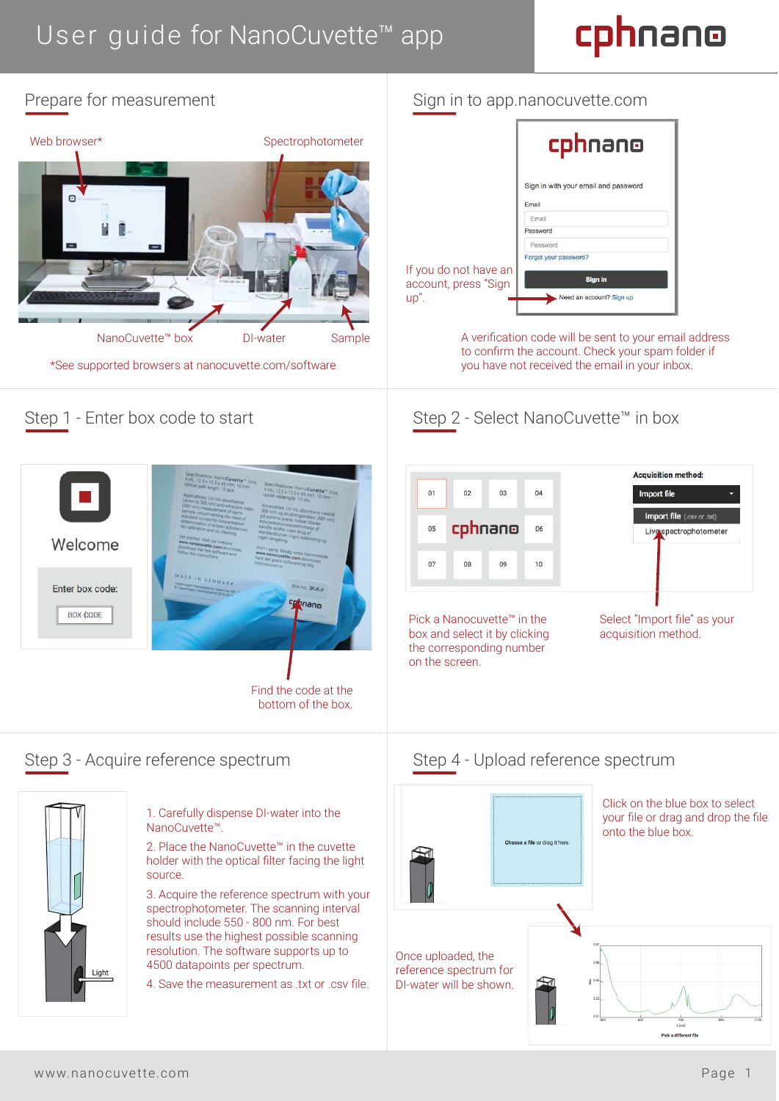## User guide for NanoCuvette<sup>™</sup> app

# cphnano





## Sign in to app.nanocuvette.com

|                          | cphnano                                       |
|--------------------------|-----------------------------------------------|
|                          | Sign in with your email and password<br>Email |
|                          | Email                                         |
|                          | Password                                      |
|                          | Password                                      |
|                          | Forgot your password?                         |
| ot have an<br>ress "Sign | <b>Sign in</b>                                |
|                          | Need an account? Sign up                      |

A verification code will be sent to your email address to confirm the account. Check your spam folder if you have not received the email in your inbox.

## Step 2 - Select NanoCuvette™ in box



Pick a Nanocuvette™ in the box and select it by clicking the corresponding number on the screen.

Select "Import file" as your acquisition method.

## Step 3 - Acquire reference spectrum Step 4 - Upload reference spectrum



1. Carefully dispense DI-water into the NanoCuvette™.

2. Place the NanoCuvette™ in the cuvette holder with the optical filter facing the light source.

3. Acquire the reference spectrum with your spectrophotometer. The scanning interval should include 550 - 800 nm. For best results use the highest possible scanning resolution. The software supports up to 4500 datapoints per spectrum.

4. Save the measurement as txt or .csv file.